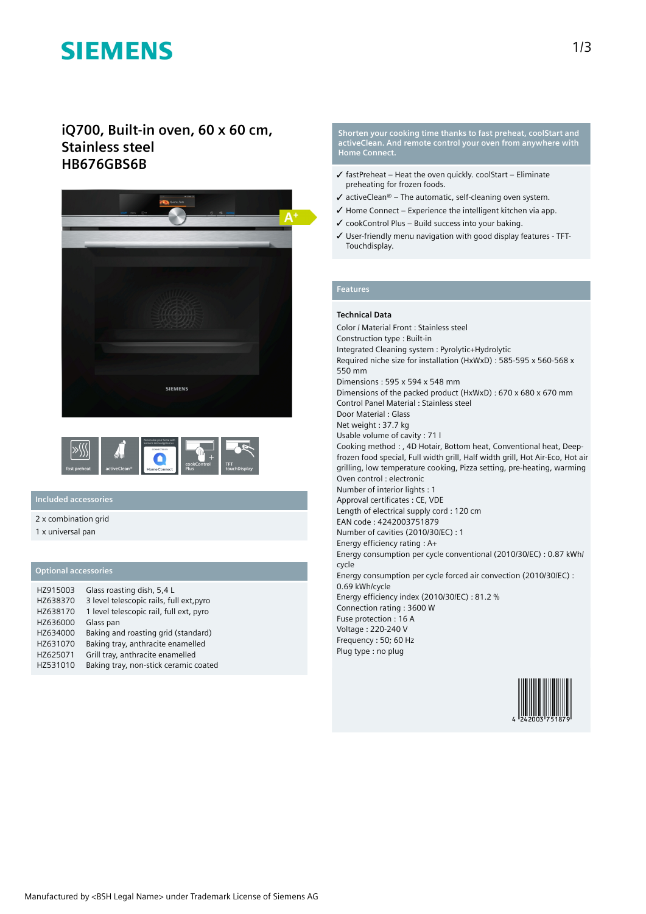# **SIEMENS**

# **iQ700, Built-in oven, 60 x 60 cm, Stainless steel HB676GBS6B**





# **Included accessories**

2 x combination grid

1 x universal pan

## **Optional accessories**

| HZ915003 | Glass roasting dish, 5,4 L               |
|----------|------------------------------------------|
| HZ638370 | 3 level telescopic rails, full ext, pyro |
| HZ638170 | 1 level telescopic rail, full ext, pyro  |
| HZ636000 | Glass pan                                |
| HZ634000 | Baking and roasting grid (standard)      |
| HZ631070 | Baking tray, anthracite enamelled        |
| HZ625071 | Grill tray, anthracite enamelled         |
| HZ531010 | Baking tray, non-stick ceramic coated    |

**Shorten your cooking time thanks to fast preheat, coolStart and activeClean. And remote control your oven from anywhere with Home Connect.**

- $\checkmark$  fastPreheat Heat the oven quickly. coolStart Eliminate preheating for frozen foods.
- $\checkmark$  activeClean® The automatic, self-cleaning oven system.
- $\checkmark$  Home Connect Experience the intelligent kitchen via app.
- $\checkmark$  cookControl Plus Build success into your baking.
- ✓ User-friendly menu navigation with good display features TFT-Touchdisplay.

### **Features**

### **Technical Data**

Color / Material Front : Stainless steel Construction type : Built-in Integrated Cleaning system : Pyrolytic+Hydrolytic Required niche size for installation (HxWxD) : 585-595 x 560-568 x 550 mm Dimensions : 595 x 594 x 548 mm Dimensions of the packed product (HxWxD) : 670 x 680 x 670 mm Control Panel Material : Stainless steel Door Material : Glass Net weight : 37.7 kg Usable volume of cavity : 71 l Cooking method : , 4D Hotair, Bottom heat, Conventional heat, Deepfrozen food special, Full width grill, Half width grill, Hot Air-Eco, Hot air grilling, low temperature cooking, Pizza setting, pre-heating, warming Oven control : electronic Number of interior lights : 1 Approval certificates : CE, VDE Length of electrical supply cord : 120 cm EAN code : 4242003751879 Number of cavities (2010/30/EC) : 1 Energy efficiency rating : A+ Energy consumption per cycle conventional (2010/30/EC) : 0.87 kWh/ cycle Energy consumption per cycle forced air convection (2010/30/EC) : 0.69 kWh/cycle Energy efficiency index (2010/30/EC) : 81.2 % Connection rating : 3600 W Fuse protection : 16 A Voltage : 220-240 V Frequency : 50; 60 Hz Plug type : no plug

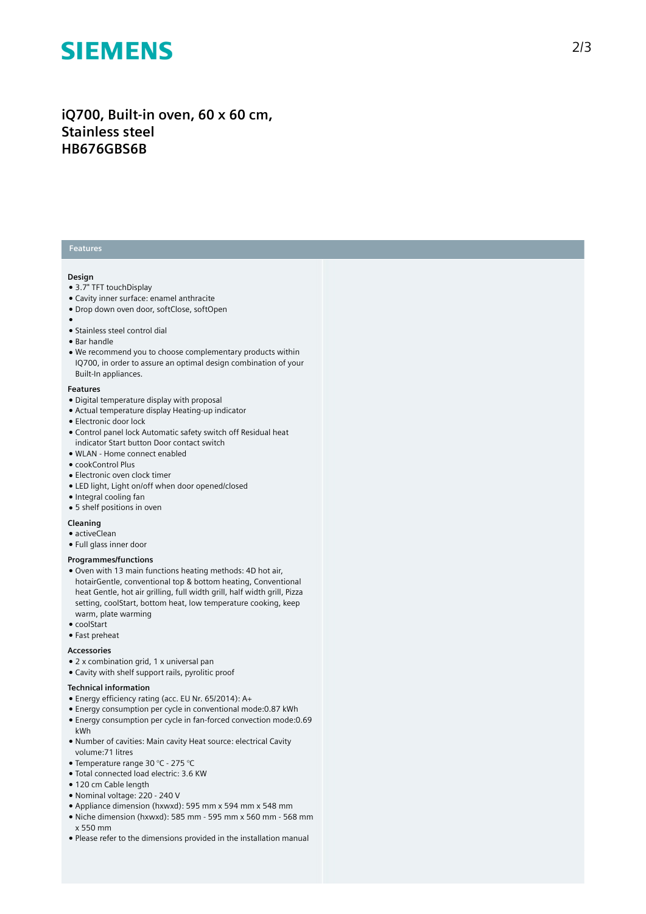# **SIEMENS**

# iQ700, Built-in oven, 60 x 60 cm, **S t a i n l e s s s t e e l HB676GBS6B**

## **Features**

#### **Design**

- 3.7" TFT touchDisplay
- Cavity inner surface: enamel anthracite
- Drop down oven door, softClose, softOpen
- 
- ●<br>● Stainless steel control dial
- Bar handle
- We recommend you to choose complementary products within IQ700, in order to assure an optimal design combination of you r Built-In appliances.

#### **F e a t u r e s**

- Digital temperature display with proposal
- Actual temperature display Heating-up indicator
- Electronic door lock
- Control panel lock Automatic safety switch off Residual heat indicator Start button Door contact switch
- WLAN Home connect enabled
- cookControl Plus
- $\bullet$  Electronic oven clock timer
- LED light, Light on/off when door opened/closed
- Integral cooling fan
- 5 shelf positions in oven

### **Cleaning**

- activeClean
- Full glass inner door

#### **Programmes/functions**

- Oven with 13 main functions heating methods: 4D hot air, hotairGentle, conventional top & bottom heating, Conventional heat Gentle, hot air grilling, full width grill, half width grill, Pizza setting, coolStart, bottom heat, low temperature cooking, keep warm, plate warming
- coolStart
- Fast preheat

#### **A c c e s s o r i e s**

- 2 x combination grid, 1 x universal pan
- Cavity with shelf support rails, pyrolitic proof

#### Technical information

- Energy efficiency rating (acc. EU Nr. 65/2014): A+
- Energy consumption per cycle in conventional mode:0.87 kWh
- Energy consumption per cycle in fan-forced convection mode:0.69 kWh
- Number of cavities: Main cavity Heat source: electrical Cavity volume: 71 litres
- Temperature range 30 °C 275 °C
- · Total connected load electric: 3.6 KW
- 120 cm Cable length
- Nominal voltage: 220 240 V
- Appliance dimension (hxwxd): 595 mm x 594 mm x 548 mm
- $\bullet$  Niche dimension (hxwxd): 585 mm 595 mm x 560 mm 568 mm x 550 mm
- Please refer to the dimensions provided in the installation manual